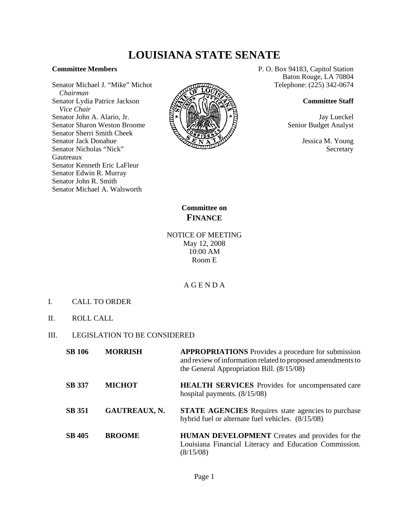# **LOUISIANA STATE SENATE**

#### **Committee Members**

Senator Michael J. "Mike" Michot  *Chairman* Senator Lydia Patrice Jackson  *Vice Chair* Senator John A. Alario, Jr. Senator Sharon Weston Broome Senator Sherri Smith Cheek Senator Jack Donahue Senator Nicholas "Nick" Gautreaux Senator Kenneth Eric LaFleur Senator Edwin R. Murray Senator John R. Smith Senator Michael A. Walsworth



P. O. Box 94183, Capitol Station Baton Rouge, LA 70804 Telephone: (225) 342-0674

#### **Committee Staff**

Jay Lueckel Senior Budget Analyst

> Jessica M. Young **Secretary**

# **Committee on FINANCE**

## NOTICE OF MEETING May 12, 2008 10:00 AM Room E

## A G E N D A

- I. CALL TO ORDER
- II. ROLL CALL

### III. LEGISLATION TO BE CONSIDERED

| <b>SB 106</b> | <b>MORRISH</b>       | <b>APPROPRIATIONS</b> Provides a procedure for submission<br>and review of information related to proposed amendments to<br>the General Appropriation Bill. $(8/15/08)$ |
|---------------|----------------------|-------------------------------------------------------------------------------------------------------------------------------------------------------------------------|
| <b>SB 337</b> | <b>MICHOT</b>        | <b>HEALTH SERVICES</b> Provides for uncompensated care<br>hospital payments. $(8/15/08)$                                                                                |
| <b>SB</b> 351 | <b>GAUTREAUX, N.</b> | <b>STATE AGENCIES</b> Requires state agencies to purchase<br>hybrid fuel or alternate fuel vehicles. (8/15/08)                                                          |
| <b>SB 405</b> | <b>BROOME</b>        | <b>HUMAN DEVELOPMENT</b> Creates and provides for the<br>Louisiana Financial Literacy and Education Commission.<br>(8/15/08)                                            |